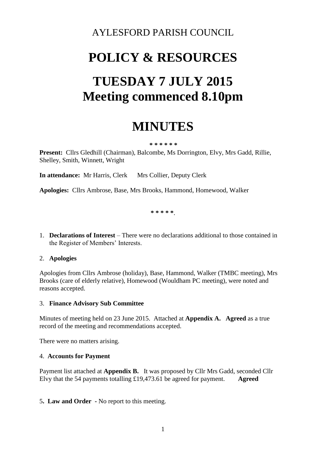### AYLESFORD PARISH COUNCIL

# **POLICY & RESOURCES TUESDAY 7 JULY 2015 Meeting commenced 8.10pm**

## **MINUTES**

#### **\* \* \* \* \* \***

**Present:** Cllrs Gledhill (Chairman), Balcombe, Ms Dorrington, Elvy, Mrs Gadd, Rillie, Shelley, Smith, Winnett, Wright

**In attendance:** Mr Harris, Clerk Mrs Collier, Deputy Clerk

**Apologies:** Cllrs Ambrose, Base, Mrs Brooks, Hammond, Homewood, Walker

**\* \* \* \* \***.

1. **Declarations of Interest** – There were no declarations additional to those contained in the Register of Members' Interests.

#### 2. **Apologies**

Apologies from Cllrs Ambrose (holiday), Base, Hammond, Walker (TMBC meeting), Mrs Brooks (care of elderly relative), Homewood (Wouldham PC meeting), were noted and reasons accepted.

#### 3. **Finance Advisory Sub Committee**

Minutes of meeting held on 23 June 2015. Attached at **Appendix A. Agreed** as a true record of the meeting and recommendations accepted.

There were no matters arising.

#### 4. **Accounts for Payment**

Payment list attached at **Appendix B.** It was proposed by Cllr Mrs Gadd, seconded Cllr Elvy that the 54 payments totalling £19,473.61 be agreed for payment. **Agreed**

#### 5**. Law and Order -** No report to this meeting.